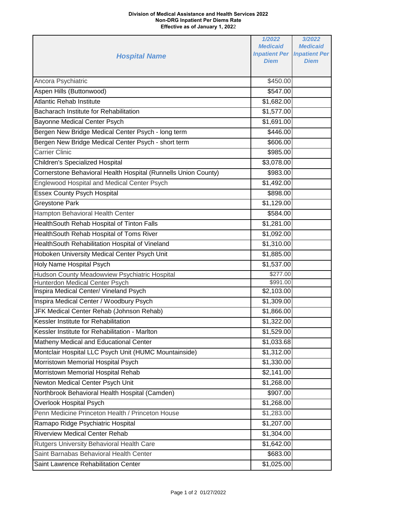## **Division of Medical Assistance and Health Services 2022 Non-DRG Inpatient Per Diems Rate Effective as of January 1, 202**2

| <b>Hospital Name</b>                                           | 1/2022<br><b>Medicaid</b><br><b>Inpatient Per Inpatient Per</b><br><b>Diem</b> | 3/2022<br><b>Medicaid</b><br><b>Diem</b> |
|----------------------------------------------------------------|--------------------------------------------------------------------------------|------------------------------------------|
| Ancora Psychiatric                                             | \$450.00                                                                       |                                          |
| Aspen Hills (Buttonwood)                                       | \$547.00                                                                       |                                          |
| <b>Atlantic Rehab Institute</b>                                | \$1,682.00                                                                     |                                          |
| Bacharach Institute for Rehabilitation                         | \$1,577.00                                                                     |                                          |
| Bayonne Medical Center Psych                                   | \$1,691.00                                                                     |                                          |
| Bergen New Bridge Medical Center Psych - long term             | \$446.00                                                                       |                                          |
| Bergen New Bridge Medical Center Psych - short term            | \$606.00                                                                       |                                          |
| <b>Carrier Clinic</b>                                          | \$985.00                                                                       |                                          |
| <b>Children's Specialized Hospital</b>                         | \$3,078.00                                                                     |                                          |
| Cornerstone Behavioral Health Hospital (Runnells Union County) | \$983.00                                                                       |                                          |
| <b>Englewood Hospital and Medical Center Psych</b>             | \$1,492.00                                                                     |                                          |
| <b>Essex County Psych Hospital</b>                             | \$898.00                                                                       |                                          |
| <b>Greystone Park</b>                                          | \$1,129.00                                                                     |                                          |
| Hampton Behavioral Health Center                               | \$584.00                                                                       |                                          |
| HealthSouth Rehab Hospital of Tinton Falls                     | \$1,281.00                                                                     |                                          |
| HealthSouth Rehab Hospital of Toms River                       | \$1,092.00                                                                     |                                          |
| HealthSouth Rehabilitation Hospital of Vineland                | \$1,310.00                                                                     |                                          |
| Hoboken University Medical Center Psych Unit                   | \$1,885.00                                                                     |                                          |
| Holy Name Hospital Psych                                       | \$1,537.00                                                                     |                                          |
| Hudson County Meadowview Psychiatric Hospital                  | \$277.00                                                                       |                                          |
| Hunterdon Medical Center Psych                                 | \$991.00                                                                       |                                          |
| Inspira Medical Center/ Vineland Psych                         | \$2,103.00                                                                     |                                          |
| Inspira Medical Center / Woodbury Psych                        | \$1,309.00                                                                     |                                          |
| JFK Medical Center Rehab (Johnson Rehab)                       | \$1,866.00                                                                     |                                          |
| Kessler Institute for Rehabilitation                           | \$1,322.00                                                                     |                                          |
| Kessler Institute for Rehabilitation - Marlton                 | $\overline{$1,529.00}$                                                         |                                          |
| Matheny Medical and Educational Center                         | \$1,033.68                                                                     |                                          |
| Montclair Hospital LLC Psych Unit (HUMC Mountainside)          | \$1,312.00                                                                     |                                          |
| Morristown Memorial Hospital Psych                             | \$1,330.00                                                                     |                                          |
| Morristown Memorial Hospital Rehab                             | \$2,141.00                                                                     |                                          |
| Newton Medical Center Psych Unit                               | \$1,268.00                                                                     |                                          |
| Northbrook Behavioral Health Hospital (Camden)                 | \$907.00                                                                       |                                          |
| Overlook Hospital Psych                                        | \$1,268.00                                                                     |                                          |
| Penn Medicine Princeton Health / Princeton House               | \$1,283.00                                                                     |                                          |
| Ramapo Ridge Psychiatric Hospital                              | \$1,207.00                                                                     |                                          |
| <b>Riverview Medical Center Rehab</b>                          | \$1,304.00                                                                     |                                          |
| Rutgers University Behavioral Health Care                      | \$1,642.00                                                                     |                                          |
| Saint Barnabas Behavioral Health Center                        | \$683.00                                                                       |                                          |
| Saint Lawrence Rehabilitation Center                           | \$1,025.00                                                                     |                                          |